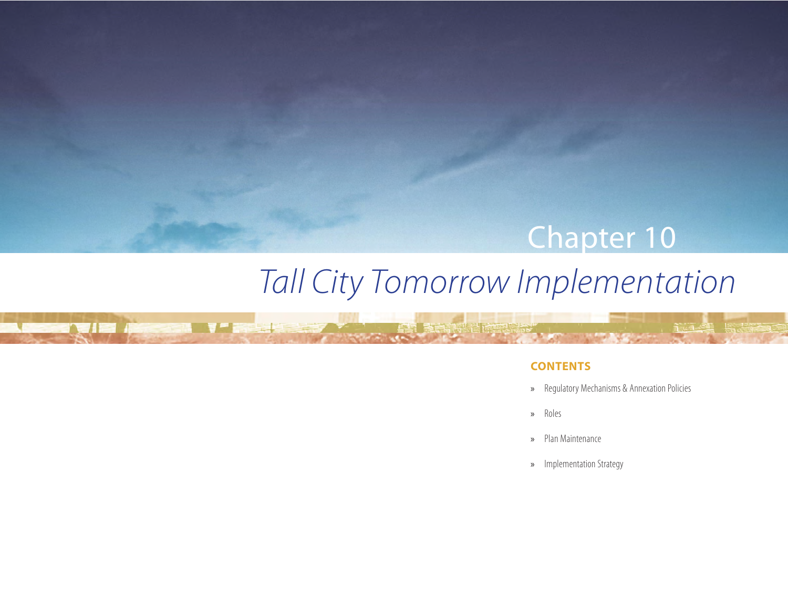# Chapter 10

# *Tall City Tomorrow Implementation*

تقليلهم

**THE A** 

# **CONTENTS**

- » Regulatory Mechanisms & Annexation Policies
- » Roles
- » Plan Maintenance
- » Implementation Strategy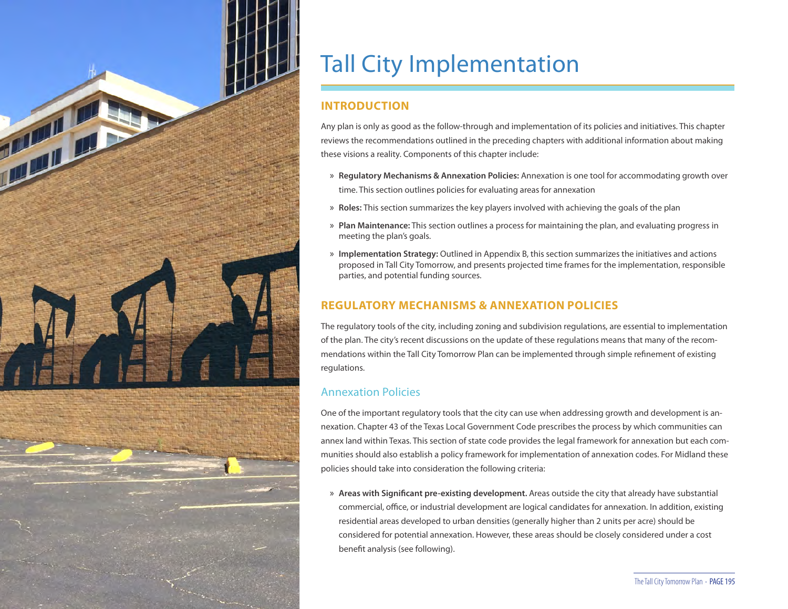

# Tall City Implementation

# **INTRODUCTION**

Any plan is only as good as the follow-through and implementation of its policies and initiatives. This chapter reviews the recommendations outlined in the preceding chapters with additional information about making these visions a reality. Components of this chapter include:

- » **Regulatory Mechanisms & Annexation Policies:** Annexation is one tool for accommodating growth over time. This section outlines policies for evaluating areas for annexation
- » **Roles:** This section summarizes the key players involved with achieving the goals of the plan
- » **Plan Maintenance:** This section outlines a process for maintaining the plan, and evaluating progress in meeting the plan's goals.
- » **Implementation Strategy:** Outlined in Appendix B, this section summarizes the initiatives and actions proposed in Tall City Tomorrow, and presents projected time frames for the implementation, responsible parties, and potential funding sources.

# **REGULATORY MECHANISMS & ANNEXATION POLICIES**

The regulatory tools of the city, including zoning and subdivision regulations, are essential to implementation of the plan. The city's recent discussions on the update of these regulations means that many of the recommendations within the Tall City Tomorrow Plan can be implemented through simple refinement of existing regulations.

# Annexation Policies

One of the important regulatory tools that the city can use when addressing growth and development is annexation. Chapter 43 of the Texas Local Government Code prescribes the process by which communities can annex land within Texas. This section of state code provides the legal framework for annexation but each communities should also establish a policy framework for implementation of annexation codes. For Midland these policies should take into consideration the following criteria:

» **Areas with Significant pre-existing development.**Areas outside the city that already have substantial commercial, office, or industrial development are logical candidates for annexation. In addition, existing residential areas developed to urban densities (generally higher than 2 units per acre) should be considered for potential annexation. However, these areas should be closely considered under a cost benefit analysis (see following).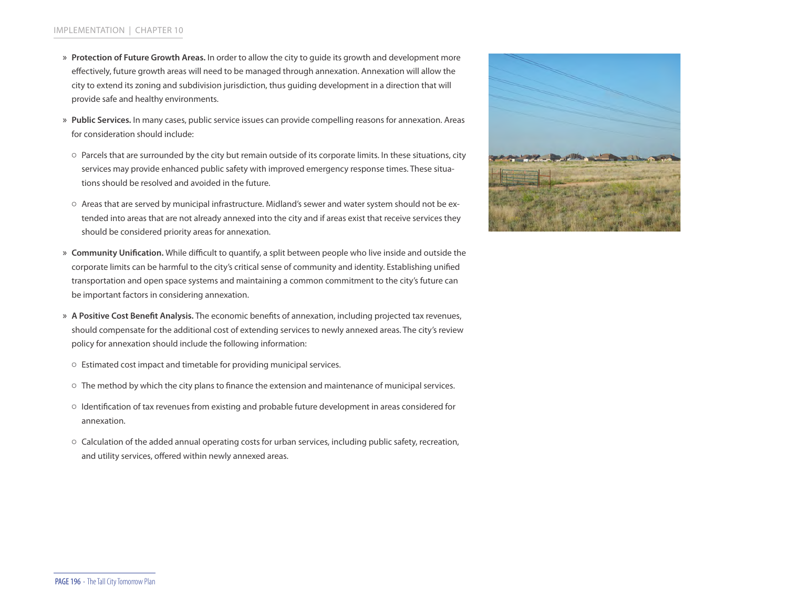- » **Protection of Future Growth Areas.**In order to allow the city to guide its growth and development more effectively, future growth areas will need to be managed through annexation. Annexation will allow the city to extend its zoning and subdivision jurisdiction, thus guiding development in a direction that will provide safe and healthy environments.
- » **Public Services.**In many cases, public service issues can provide compelling reasons for annexation. Areas for consideration should include:
- Parcels that are surrounded by the city but remain outside of its corporate limits. In these situations, city services may provide enhanced public safety with improved emergency response times. These situations should be resolved and avoided in the future.
- Areas that are served by municipal infrastructure. Midland's sewer and water system should not be extended into areas that are not already annexed into the city and if areas exist that receive services they should be considered priority areas for annexation.
- » **Community Unification.**While difficult to quantify, a split between people who live inside and outside the corporate limits can be harmful to the city's critical sense of community and identity. Establishing unified transportation and open space systems and maintaining a common commitment to the city's future can be important factors in considering annexation.
- » **A Positive Cost Benefit Analysis.**The economic benefits of annexation, including projected tax revenues, should compensate for the additional cost of extending services to newly annexed areas. The city's review policy for annexation should include the following information:
- Estimated cost impact and timetable for providing municipal services.
- The method by which the city plans to finance the extension and maintenance of municipal services.
- Identification of tax revenues from existing and probable future development in areas considered for annexation.
- Calculation of the added annual operating costs for urban services, including public safety, recreation, and utility services, offered within newly annexed areas.

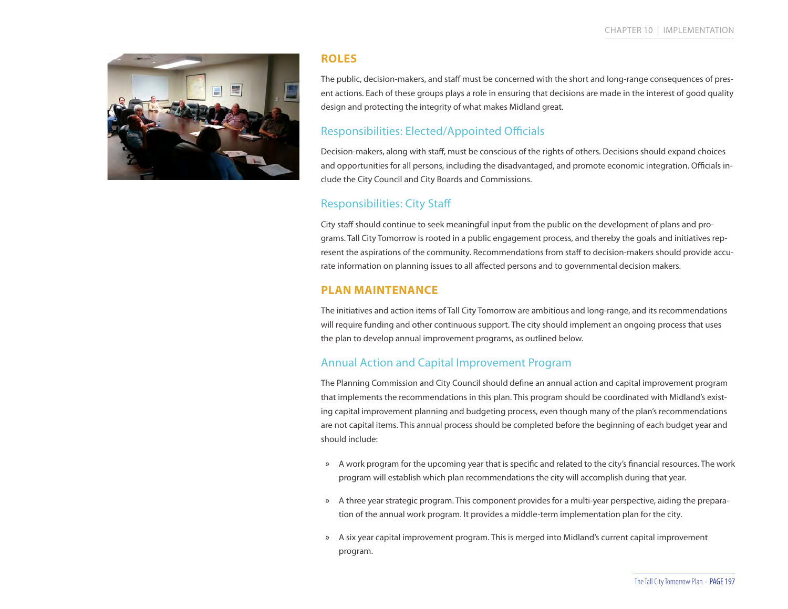

#### **ROLES**

The public, decision-makers, and staff must be concerned with the short and long-range consequences of present actions. Each of these groups plays a role in ensuring that decisions are made in the interest of good quality design and protecting the integrity of what makes Midland great.

# Responsibilities: Elected/Appointed Officials

Decision-makers, along with staff, must be conscious of the rights of others. Decisions should expand choices and opportunities for all persons, including the disadvantaged, and promote economic integration. Officials include the City Council and City Boards and Commissions.

# Responsibilities: City Staff

City staff should continue to seek meaningful input from the public on the development of plans and programs. Tall City Tomorrow is rooted in a public engagement process, and thereby the goals and initiatives represent the aspirations of the community. Recommendations from staff to decision-makers should provide accurate information on planning issues to all affected persons and to governmental decision makers.

# **PLAN MAINTENANCE**

The initiatives and action items of Tall City Tomorrow are ambitious and long-range, and its recommendations will require funding and other continuous support. The city should implement an ongoing process that uses the plan to develop annual improvement programs, as outlined below.

# Annual Action and Capital Improvement Program

The Planning Commission and City Council should define an annual action and capital improvement program that implements the recommendations in this plan. This program should be coordinated with Midland's existing capital improvement planning and budgeting process, even though many of the plan's recommendations are not capital items. This annual process should be completed before the beginning of each budget year and should include:

- » A work program for the upcoming year that is specific and related to the city's financial resources. The work program will establish which plan recommendations the city will accomplish during that year.
- » A three year strategic program. This component provides for a multi-year perspective, aiding the preparation of the annual work program. It provides a middle-term implementation plan for the city.
- » A six year capital improvement program. This is merged into Midland's current capital improvement program.